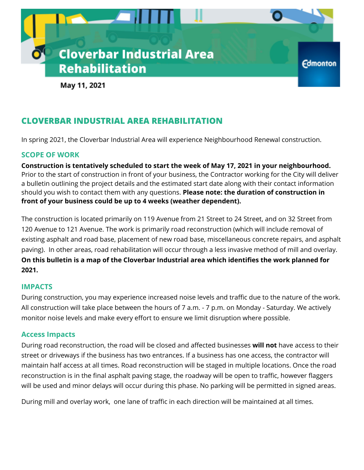

May 11, 2021

# **CLOVERBAR INDUSTRIAL AREA REHABILITATION**

In spring 2021, the Cloverbar Industrial Area will experience Neighbourhood Renewal construction.

### **SCOPE OF WORK**

**Construction is tentatively scheduled to start the week of May 17, 2021 in your neighbourhood.** Prior to the start of construction in front of your business, the Contractor working for the City will deliver a bulletin outlining the project details and the estimated start date along with their contact information should you wish to contact them with any questions. **Please note: the duration of construction in front of your business could be up to 4 weeks (weather dependent).**

The construction is located primarily on 119 Avenue from 21 Street to 24 Street, and on 32 Street from 120 Avenue to 121 Avenue. The work is primarily road reconstruction (which will include removal of existing asphalt and road base, placement of new road base, miscellaneous concrete repairs, and asphalt paving). In other areas, road rehabilitation will occur through a less invasive method of mill and overlay. **On this bulletin is a map of the Cloverbar Industrial area which identifies the work planned for 2021.**

### **IMPACTS**

During construction, you may experience increased noise levels and traffic due to the nature of the work. All construction will take place between the hours of 7 a.m. - 7 p.m. on Monday - Saturday. We actively monitor noise levels and make every effort to ensure we limit disruption where possible.

### **Access Impacts**

During road reconstruction, the road will be closed and affected businesses **will not** have access to their street or driveways if the business has two entrances. If a business has one access, the contractor will maintain half access at all times. Road reconstruction will be staged in multiple locations. Once the road reconstruction is in the final asphalt paving stage, the roadway will be open to traffic, however flaggers will be used and minor delays will occur during this phase. No parking will be permitted in signed areas.

During mill and overlay work, one lane of traffic in each direction will be maintained at all times.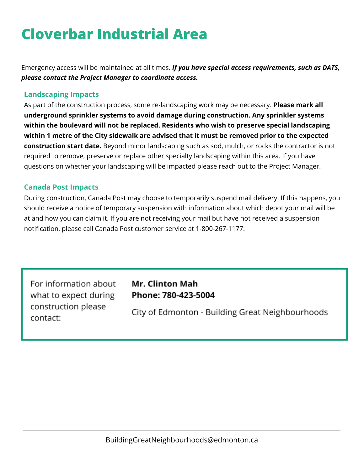# **Cloverbar Industrial Area**

Emergency access will be maintained at all times. *If you have special access requirements, such as DATS, please contact the Project Manager to coordinate access.*

## **Landscaping Impacts**

As part of the construction process, some re-landscaping work may be necessary. **Please mark all underground sprinkler systems to avoid damage during construction. Any sprinkler systems within the boulevard will not be replaced. Residents who wish to preserve special landscaping within 1 metre of the City sidewalk are advised that it must be removed prior to the expected construction start date.** Beyond minor landscaping such as sod, mulch, or rocks the contractor is not required to remove, preserve or replace other specialty landscaping within this area. If you have questions on whether your landscaping will be impacted please reach out to the Project Manager.

### **Canada Post Impacts**

During construction, Canada Post may choose to temporarily suspend mail delivery. If this happens, you should receive a notice of temporary suspension with information about which depot your mail will be at and how you can claim it. If you are not receiving your mail but have not received a suspension notification, please call Canada Post customer service at 1-800-267-1177.

For information about what to expect during construction please contact:

# **Mr. Clinton Mah** Phone: 780-423-5004

City of Edmonton - Building Great Neighbourhoods